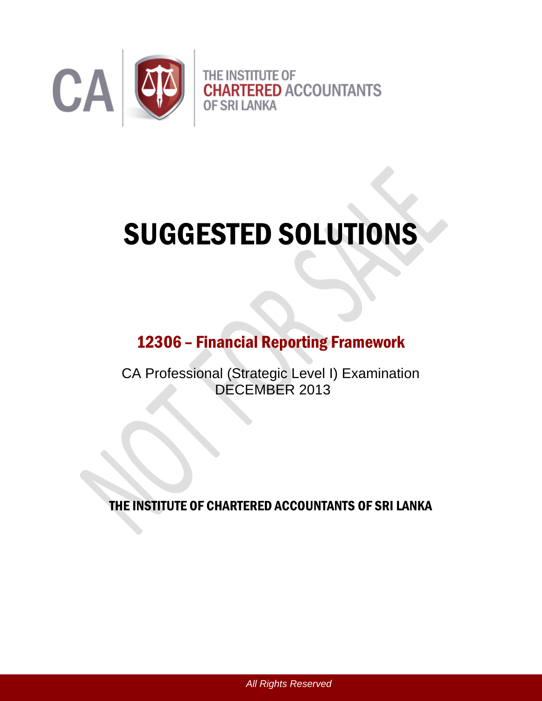

# SUGGESTED SOLUTIONS

# 12306 – Financial Reporting Framework

CA Professional (Strategic Level I) Examination DECEMBER 2013

THE INSTITUTE OF CHARTERED ACCOUNTANTS OF SRI LANKA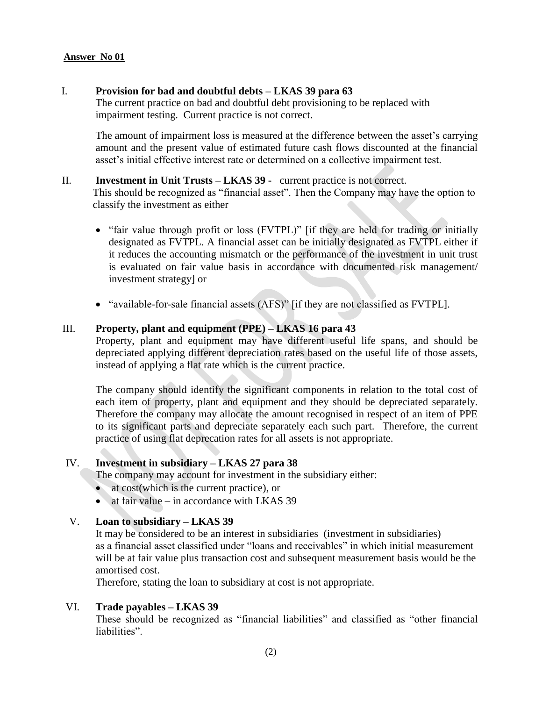#### **Answer No 01**

#### I. **Provision for bad and doubtful debts – LKAS 39 para 63**

The current practice on bad and doubtful debt provisioning to be replaced with impairment testing. Current practice is not correct.

The amount of impairment loss is measured at the difference between the asset's carrying amount and the present value of estimated future cash flows discounted at the financial asset's initial effective interest rate or determined on a collective impairment test.

#### II. **Investment in Unit Trusts – LKAS 39 -** current practice is not correct.

This should be recognized as "financial asset". Then the Company may have the option to classify the investment as either

- "fair value through profit or loss (FVTPL)" [if they are held for trading or initially designated as FVTPL. A financial asset can be initially designated as FVTPL either if it reduces the accounting mismatch or the performance of the investment in unit trust is evaluated on fair value basis in accordance with documented risk management/ investment strategy] or
- "available-for-sale financial assets (AFS)" [if they are not classified as FVTPL].

#### III. **Property, plant and equipment (PPE) – LKAS 16 para 43**

Property, plant and equipment may have different useful life spans, and should be depreciated applying different depreciation rates based on the useful life of those assets, instead of applying a flat rate which is the current practice.

The company should identify the significant components in relation to the total cost of each item of property, plant and equipment and they should be depreciated separately. Therefore the company may allocate the amount recognised in respect of an item of PPE to its significant parts and depreciate separately each such part. Therefore, the current practice of using flat deprecation rates for all assets is not appropriate.

#### IV. **Investment in subsidiary – LKAS 27 para 38**

The company may account for investment in the subsidiary either:

- at cost(which is the current practice), or
- $\bullet$  at fair value in accordance with LKAS 39

#### V. **Loan to subsidiary – LKAS 39**

It may be considered to be an interest in subsidiaries (investment in subsidiaries) as a financial asset classified under "loans and receivables" in which initial measurement will be at fair value plus transaction cost and subsequent measurement basis would be the amortised cost.

Therefore, stating the loan to subsidiary at cost is not appropriate.

#### VI. **Trade payables – LKAS 39**

These should be recognized as "financial liabilities" and classified as "other financial liabilities".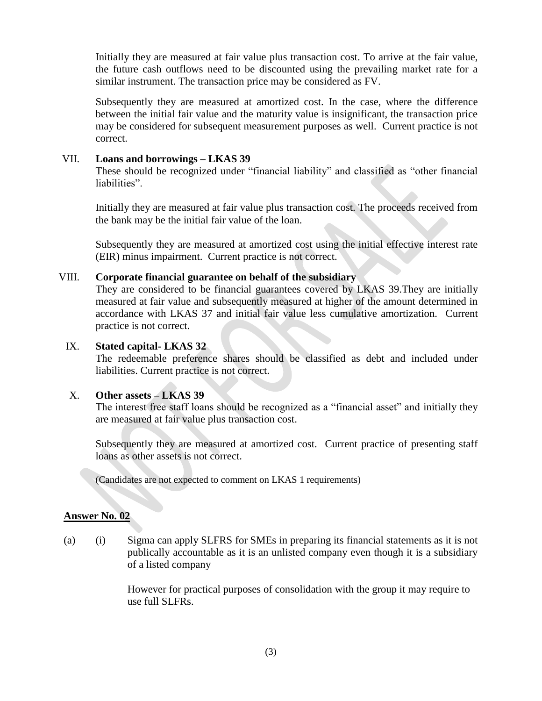Initially they are measured at fair value plus transaction cost. To arrive at the fair value, the future cash outflows need to be discounted using the prevailing market rate for a similar instrument. The transaction price may be considered as FV.

Subsequently they are measured at amortized cost. In the case, where the difference between the initial fair value and the maturity value is insignificant, the transaction price may be considered for subsequent measurement purposes as well. Current practice is not correct.

#### VII. **Loans and borrowings – LKAS 39**

These should be recognized under "financial liability" and classified as "other financial liabilities".

Initially they are measured at fair value plus transaction cost. The proceeds received from the bank may be the initial fair value of the loan.

Subsequently they are measured at amortized cost using the initial effective interest rate (EIR) minus impairment. Current practice is not correct.

#### VIII. **Corporate financial guarantee on behalf of the subsidiary**

They are considered to be financial guarantees covered by LKAS 39.They are initially measured at fair value and subsequently measured at higher of the amount determined in accordance with LKAS 37 and initial fair value less cumulative amortization. Current practice is not correct.

#### IX. **Stated capital- LKAS 32**

The redeemable preference shares should be classified as debt and included under liabilities. Current practice is not correct.

#### X. **Other assets – LKAS 39**

The interest free staff loans should be recognized as a "financial asset" and initially they are measured at fair value plus transaction cost.

Subsequently they are measured at amortized cost. Current practice of presenting staff loans as other assets is not correct.

(Candidates are not expected to comment on LKAS 1 requirements)

#### **Answer No. 02**

(a) (i) Sigma can apply SLFRS for SMEs in preparing its financial statements as it is not publically accountable as it is an unlisted company even though it is a subsidiary of a listed company

> However for practical purposes of consolidation with the group it may require to use full SLFRs.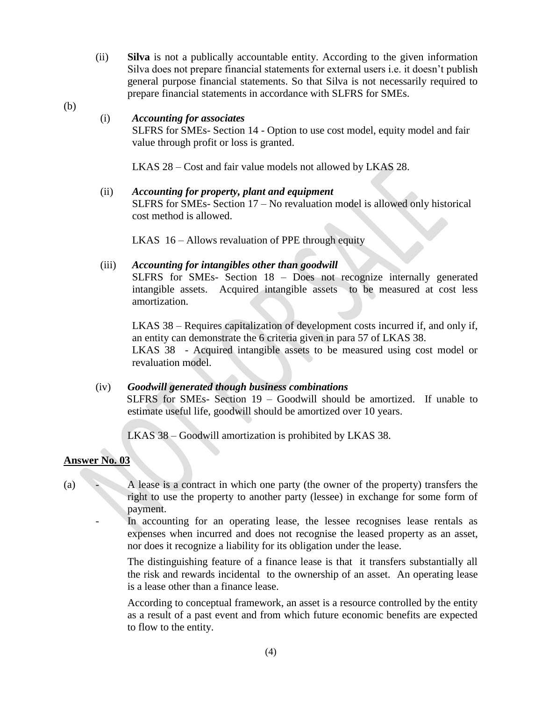- (ii) **Silva** is not a publically accountable entity. According to the given information Silva does not prepare financial statements for external users i.e. it doesn't publish general purpose financial statements. So that Silva is not necessarily required to prepare financial statements in accordance with SLFRS for SMEs.
- (b)

#### (i) *Accounting for associates*

SLFRS for SMEs- Section 14 - Option to use cost model, equity model and fair value through profit or loss is granted.

LKAS 28 – Cost and fair value models not allowed by LKAS 28.

#### (ii) *Accounting for property, plant and equipment*

SLFRS for SMEs- Section 17 – No revaluation model is allowed only historical cost method is allowed.

LKAS 16 – Allows revaluation of PPE through equity

#### (iii) *Accounting for intangibles other than goodwill*

SLFRS for SMEs- Section 18 – Does not recognize internally generated intangible assets. Acquired intangible assets to be measured at cost less amortization.

LKAS 38 – Requires capitalization of development costs incurred if, and only if, an entity can demonstrate the 6 criteria given in para 57 of LKAS 38.

LKAS 38 - Acquired intangible assets to be measured using cost model or revaluation model.

#### (iv) *Goodwill generated though business combinations*

SLFRS for SMEs- Section 19 – Goodwill should be amortized. If unable to estimate useful life, goodwill should be amortized over 10 years.

LKAS 38 – Goodwill amortization is prohibited by LKAS 38.

#### **Answer No. 03**

(a) - A lease is a contract in which one party (the owner of the property) transfers the right to use the property to another party (lessee) in exchange for some form of payment.

> - In accounting for an operating lease, the lessee recognises lease rentals as expenses when incurred and does not recognise the leased property as an asset, nor does it recognize a liability for its obligation under the lease.

The distinguishing feature of a finance lease is that it transfers substantially all the risk and rewards incidental to the ownership of an asset. An operating lease is a lease other than a finance lease.

According to conceptual framework, an asset is a resource controlled by the entity as a result of a past event and from which future economic benefits are expected to flow to the entity.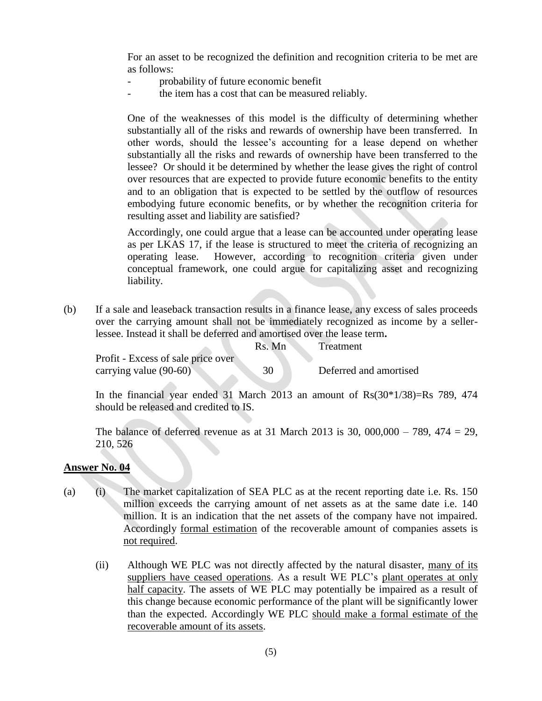For an asset to be recognized the definition and recognition criteria to be met are as follows:

- probability of future economic benefit
- the item has a cost that can be measured reliably.

One of the weaknesses of this model is the difficulty of determining whether substantially all of the risks and rewards of ownership have been transferred. In other words, should the lessee's accounting for a lease depend on whether substantially all the risks and rewards of ownership have been transferred to the lessee? Or should it be determined by whether the lease gives the right of control over resources that are expected to provide future economic benefits to the entity and to an obligation that is expected to be settled by the outflow of resources embodying future economic benefits, or by whether the recognition criteria for resulting asset and liability are satisfied?

Accordingly, one could argue that a lease can be accounted under operating lease as per LKAS 17, if the lease is structured to meet the criteria of recognizing an operating lease. However, according to recognition criteria given under conceptual framework, one could argue for capitalizing asset and recognizing liability.

(b) If a sale and leaseback transaction results in a finance lease, any excess of sales proceeds over the carrying amount shall not be immediately recognized as income by a sellerlessee. Instead it shall be deferred and amortised over the lease term**.** 

Rs. Mn Treatment

Profit - Excess of sale price over carrying value (90-60) 30 Deferred and amortised

In the financial year ended 31 March 2013 an amount of  $\text{Rs}(30*1/38)=\text{Rs }789$ , 474 should be released and credited to IS.

The balance of deferred revenue as at 31 March 2013 is 30,  $000,000 - 789, 474 = 29$ , 210, 526

#### **Answer No. 04**

- (a) (i) The market capitalization of SEA PLC as at the recent reporting date i.e. Rs. 150 million exceeds the carrying amount of net assets as at the same date i.e. 140 million. It is an indication that the net assets of the company have not impaired. Accordingly formal estimation of the recoverable amount of companies assets is not required.
	- (ii) Although WE PLC was not directly affected by the natural disaster, many of its suppliers have ceased operations. As a result WE PLC's plant operates at only half capacity. The assets of WE PLC may potentially be impaired as a result of this change because economic performance of the plant will be significantly lower than the expected. Accordingly WE PLC should make a formal estimate of the recoverable amount of its assets.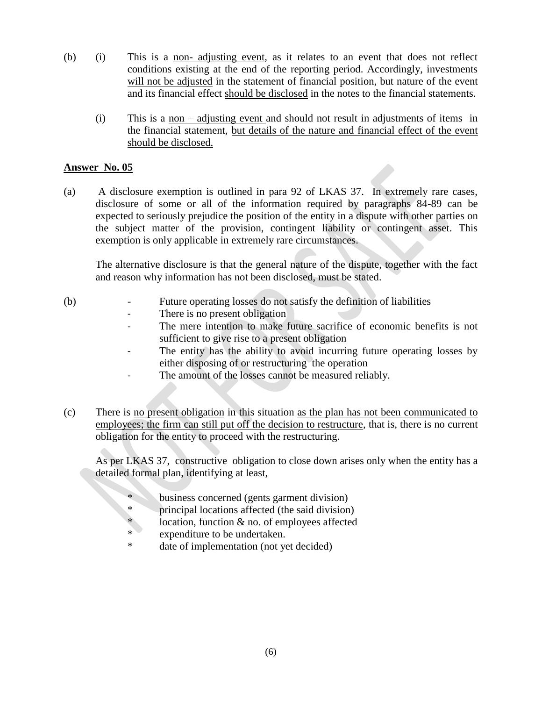- (b) (i) This is a non- adjusting event, as it relates to an event that does not reflect conditions existing at the end of the reporting period. Accordingly, investments will not be adjusted in the statement of financial position, but nature of the event and its financial effect should be disclosed in the notes to the financial statements.
	- (i) This is a non adjusting event and should not result in adjustments of items in the financial statement, but details of the nature and financial effect of the event should be disclosed.

#### **Answer No. 05**

(a) A disclosure exemption is outlined in para 92 of LKAS 37. In extremely rare cases, disclosure of some or all of the information required by paragraphs 84-89 can be expected to seriously prejudice the position of the entity in a dispute with other parties on the subject matter of the provision, contingent liability or contingent asset. This exemption is only applicable in extremely rare circumstances.

The alternative disclosure is that the general nature of the dispute, together with the fact and reason why information has not been disclosed, must be stated.

- (b) Future operating losses do not satisfy the definition of liabilities
	- There is no present obligation
	- The mere intention to make future sacrifice of economic benefits is not sufficient to give rise to a present obligation
	- The entity has the ability to avoid incurring future operating losses by either disposing of or restructuring the operation
	- The amount of the losses cannot be measured reliably.
- (c) There is no present obligation in this situation as the plan has not been communicated to employees; the firm can still put off the decision to restructure, that is, there is no current obligation for the entity to proceed with the restructuring.

As per LKAS 37, constructive obligation to close down arises only when the entity has a detailed formal plan, identifying at least,

- business concerned (gents garment division)
- \* principal locations affected (the said division)
- location, function  $&$  no. of employees affected
- expenditure to be undertaken.
- date of implementation (not yet decided)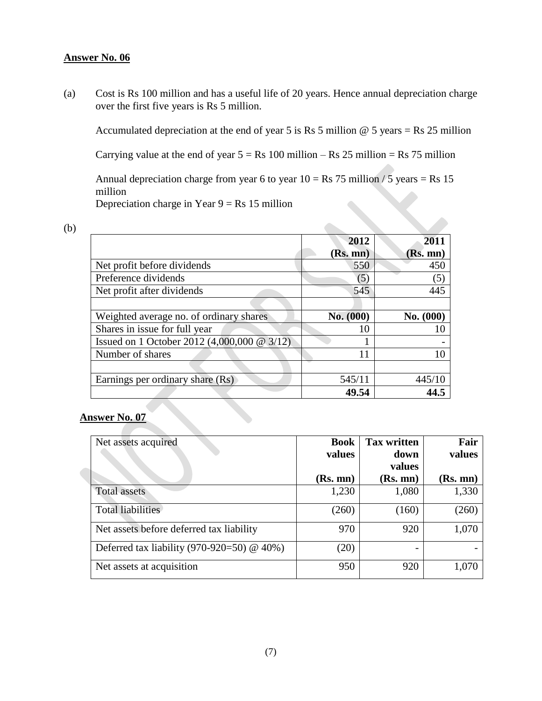### **Answer No. 06**

(a) Cost is Rs 100 million and has a useful life of 20 years. Hence annual depreciation charge over the first five years is Rs 5 million.

Accumulated depreciation at the end of year 5 is Rs 5 million  $@$  5 years = Rs 25 million

Carrying value at the end of year  $5 = Rs \, 100 \,$  million – Rs 25 million = Rs 75 million

Annual depreciation charge from year 6 to year  $10 = \text{Rs } 75$  million / 5 years = Rs 15 million Depreciation charge in Year  $9 = Rs 15$  million

 $\mathcal{L}$ 

| i |                   |
|---|-------------------|
|   | ۰,                |
|   | ٦<br>I            |
|   | ۰.<br>$\sim$<br>I |

|                                                | 2012      | 2011      |
|------------------------------------------------|-----------|-----------|
|                                                | (Rs. mn)  | (Rs. mn)  |
| Net profit before dividends                    | 550       | 450       |
| Preference dividends                           | (5)       | (5)       |
| Net profit after dividends                     | 545       | 445       |
|                                                |           |           |
| Weighted average no. of ordinary shares        | No. (000) | No. (000) |
| Shares in issue for full year                  | 10        |           |
| Issued on 1 October 2012 (4,000,000 @ $3/12$ ) |           |           |
| Number of shares                               | 11        | 10        |
|                                                |           |           |
| Earnings per ordinary share (Rs)               | 545/11    | 445/10    |
|                                                | 49.54     | 44.5      |

# **Answer No. 07**

| Net assets acquired                          | <b>Book</b><br>values | <b>Tax written</b><br>down | Fair<br>values |
|----------------------------------------------|-----------------------|----------------------------|----------------|
|                                              |                       | values                     |                |
|                                              | (Rs. mn)              | (Rs. mn)                   | (Rs. mn)       |
| <b>Total assets</b>                          | 1,230                 | 1,080                      | 1,330          |
| Total liabilities                            | (260)                 | (160)                      | (260)          |
| Net assets before deferred tax liability     | 970                   | 920                        | 1,070          |
| Deferred tax liability (970-920=50) $@$ 40%) | (20)                  | -                          |                |
| Net assets at acquisition                    | 950                   | 920                        | 1,070          |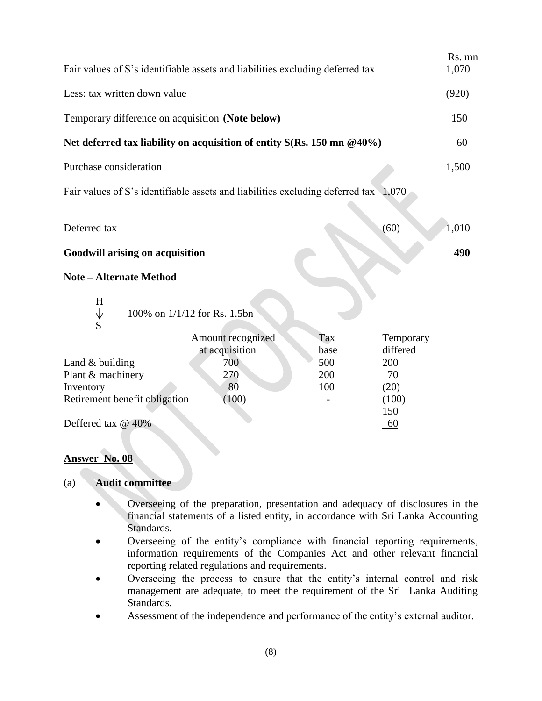| Fair values of S's identifiable assets and liabilities excluding deferred tax       |                                            |                           |                                    |       |
|-------------------------------------------------------------------------------------|--------------------------------------------|---------------------------|------------------------------------|-------|
| Less: tax written down value                                                        |                                            |                           |                                    | (920) |
| Temporary difference on acquisition (Note below)                                    |                                            |                           |                                    | 150   |
| Net deferred tax liability on acquisition of entity $S(Rs. 150 \text{ mm } @40\%)$  |                                            |                           |                                    | 60    |
| Purchase consideration                                                              |                                            |                           |                                    | 1,500 |
| Fair values of S's identifiable assets and liabilities excluding deferred tax 1,070 |                                            |                           |                                    |       |
| Deferred tax                                                                        |                                            |                           | (60)                               | 1,010 |
| <b>Goodwill arising on acquisition</b>                                              |                                            |                           |                                    |       |
| <b>Note – Alternate Method</b>                                                      |                                            |                           |                                    |       |
| H<br>$\downarrow$<br>$\overline{S}$                                                 | 100% on 1/1/12 for Rs. 1.5bn               |                           |                                    |       |
| Land $&$ building                                                                   | Amount recognized<br>at acquisition<br>700 | Tax<br>base<br>500<br>200 | Temporary<br>differed<br>200<br>70 |       |
| Plant & machinery<br>Inventory<br>Retirement benefit obligation                     | 270<br>80<br>(100)                         | 100                       | (20)<br>(100)<br>150               |       |
| Deffered tax @ 40%                                                                  |                                            |                           | 60                                 |       |

# **Answer No. 08**

## (a) **Audit committee**

- Overseeing of the preparation, presentation and adequacy of disclosures in the financial statements of a listed entity, in accordance with Sri Lanka Accounting Standards.
- Overseeing of the entity's compliance with financial reporting requirements, information requirements of the Companies Act and other relevant financial reporting related regulations and requirements.
- Overseeing the process to ensure that the entity's internal control and risk management are adequate, to meet the requirement of the Sri Lanka Auditing Standards.
- Assessment of the independence and performance of the entity's external auditor.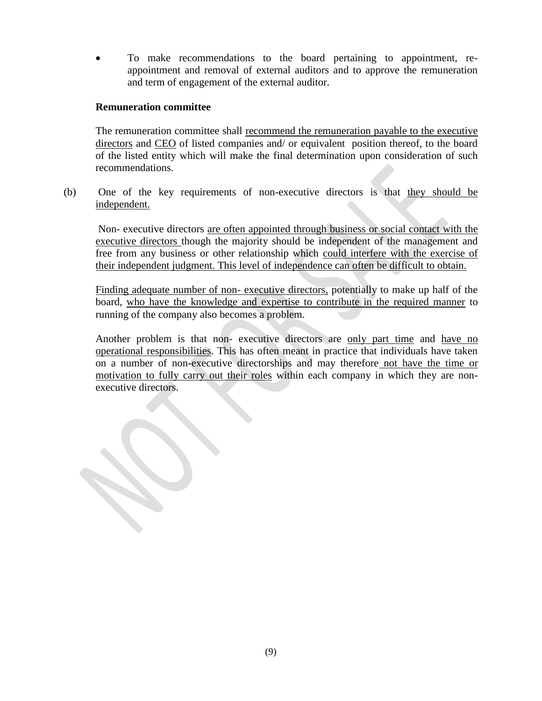To make recommendations to the board pertaining to appointment, reappointment and removal of external auditors and to approve the remuneration and term of engagement of the external auditor.

#### **Remuneration committee**

The remuneration committee shall recommend the remuneration payable to the executive directors and CEO of listed companies and/ or equivalent position thereof, to the board of the listed entity which will make the final determination upon consideration of such recommendations.

(b) One of the key requirements of non-executive directors is that they should be independent.

Non- executive directors are often appointed through business or social contact with the executive directors though the majority should be independent of the management and free from any business or other relationship which could interfere with the exercise of their independent judgment. This level of independence can often be difficult to obtain.

Finding adequate number of non- executive directors, potentially to make up half of the board, who have the knowledge and expertise to contribute in the required manner to running of the company also becomes a problem.

Another problem is that non- executive directors are only part time and have no operational responsibilities. This has often meant in practice that individuals have taken on a number of non-executive directorships and may therefore not have the time or motivation to fully carry out their roles within each company in which they are nonexecutive directors.